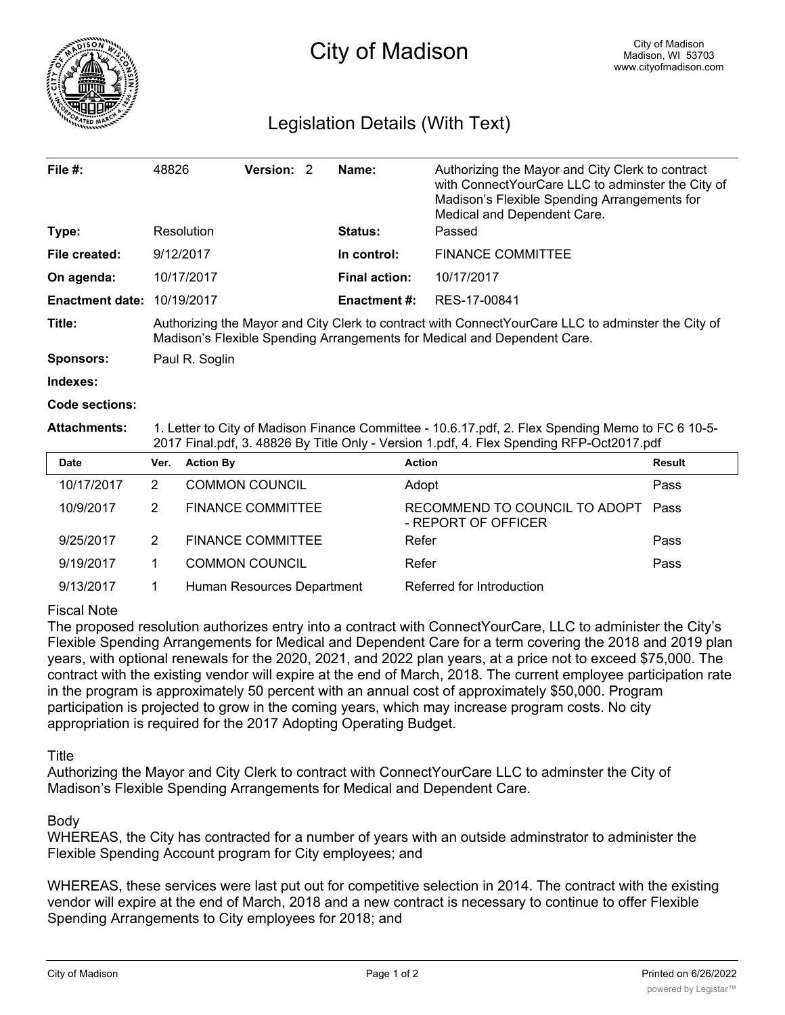

## Legislation Details (With Text)

| File $#$ :             | 48826                                                                                                                                                                          | Version: 2 |  | Name:                | Authorizing the Mayor and City Clerk to contract<br>with ConnectYourCare LLC to adminster the City of<br>Madison's Flexible Spending Arrangements for<br>Medical and Dependent Care. |  |  |
|------------------------|--------------------------------------------------------------------------------------------------------------------------------------------------------------------------------|------------|--|----------------------|--------------------------------------------------------------------------------------------------------------------------------------------------------------------------------------|--|--|
| Type:                  | Resolution                                                                                                                                                                     |            |  | <b>Status:</b>       | Passed                                                                                                                                                                               |  |  |
| File created:          | 9/12/2017                                                                                                                                                                      |            |  | In control:          | <b>FINANCE COMMITTEE</b>                                                                                                                                                             |  |  |
| On agenda:             | 10/17/2017                                                                                                                                                                     |            |  | <b>Final action:</b> | 10/17/2017                                                                                                                                                                           |  |  |
| <b>Enactment date:</b> | 10/19/2017                                                                                                                                                                     |            |  | <b>Enactment #:</b>  | RES-17-00841                                                                                                                                                                         |  |  |
| Title:                 | Authorizing the Mayor and City Clerk to contract with ConnectYourCare LLC to adminster the City of<br>Madison's Flexible Spending Arrangements for Medical and Dependent Care. |            |  |                      |                                                                                                                                                                                      |  |  |
| Sponsors:              | Paul R. Soglin                                                                                                                                                                 |            |  |                      |                                                                                                                                                                                      |  |  |
|                        |                                                                                                                                                                                |            |  |                      |                                                                                                                                                                                      |  |  |

**Indexes:**

**Code sections:**

**Attachments:** 1. Letter to City of Madison Finance Committee - 10.6.17.pdf, 2. Flex Spending Memo to FC 6 10-5- 2017 Final.pdf, 3. 48826 By Title Only - Version 1.pdf, 4. Flex Spending RFP-Oct2017.pdf

| <b>Date</b> | Ver. | <b>Action By</b>           | <b>Action</b>                                             | Result |
|-------------|------|----------------------------|-----------------------------------------------------------|--------|
| 10/17/2017  | 2    | <b>COMMON COUNCIL</b>      | Adopt                                                     | Pass   |
| 10/9/2017   | 2    | <b>FINANCE COMMITTEE</b>   | RECOMMEND TO COUNCIL TO ADOPT Pass<br>- REPORT OF OFFICER |        |
| 9/25/2017   | 2    | <b>FINANCE COMMITTEE</b>   | Refer                                                     | Pass   |
| 9/19/2017   |      | <b>COMMON COUNCIL</b>      | Refer                                                     | Pass   |
| 9/13/2017   |      | Human Resources Department | Referred for Introduction                                 |        |

## Fiscal Note

The proposed resolution authorizes entry into a contract with ConnectYourCare, LLC to administer the City's Flexible Spending Arrangements for Medical and Dependent Care for a term covering the 2018 and 2019 plan years, with optional renewals for the 2020, 2021, and 2022 plan years, at a price not to exceed \$75,000. The contract with the existing vendor will expire at the end of March, 2018. The current employee participation rate in the program is approximately 50 percent with an annual cost of approximately \$50,000. Program participation is projected to grow in the coming years, which may increase program costs. No city appropriation is required for the 2017 Adopting Operating Budget.

Title

Authorizing the Mayor and City Clerk to contract with ConnectYourCare LLC to adminster the City of Madison's Flexible Spending Arrangements for Medical and Dependent Care.

Body

WHEREAS, the City has contracted for a number of years with an outside adminstrator to administer the Flexible Spending Account program for City employees; and

WHEREAS, these services were last put out for competitive selection in 2014. The contract with the existing vendor will expire at the end of March, 2018 and a new contract is necessary to continue to offer Flexible Spending Arrangements to City employees for 2018; and